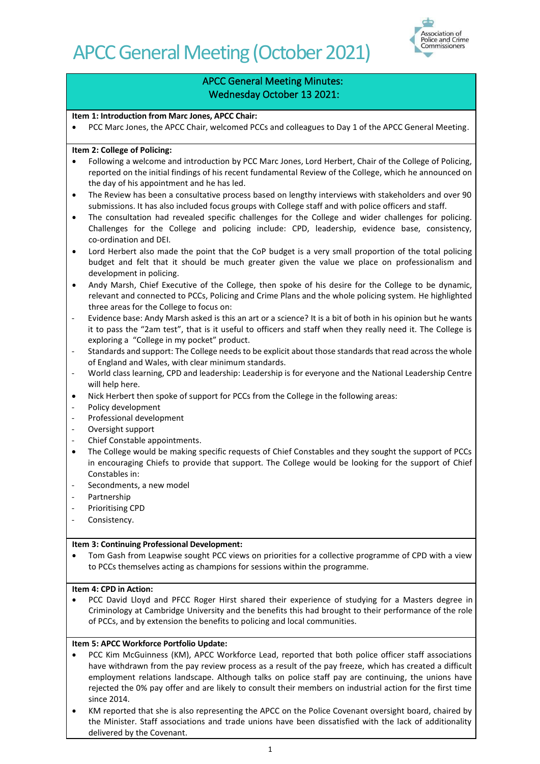

## APCC General Meeting Minutes: Wednesday October 13 2021:

### **Item 1: Introduction from Marc Jones, APCC Chair:**

• PCC Marc Jones, the APCC Chair, welcomed PCCs and colleagues to Day 1 of the APCC General Meeting.

#### **Item 2: College of Policing:**

- Following a welcome and introduction by PCC Marc Jones, Lord Herbert, Chair of the College of Policing, reported on the initial findings of his recent fundamental Review of the College, which he announced on the day of his appointment and he has led.
- The Review has been a consultative process based on lengthy interviews with stakeholders and over 90 submissions. It has also included focus groups with College staff and with police officers and staff.
- The consultation had revealed specific challenges for the College and wider challenges for policing. Challenges for the College and policing include: CPD, leadership, evidence base, consistency, co-ordination and DEI.
- Lord Herbert also made the point that the CoP budget is a very small proportion of the total policing budget and felt that it should be much greater given the value we place on professionalism and development in policing.
- Andy Marsh, Chief Executive of the College, then spoke of his desire for the College to be dynamic, relevant and connected to PCCs, Policing and Crime Plans and the whole policing system. He highlighted three areas for the College to focus on:
- Evidence base: Andy Marsh asked is this an art or a science? It is a bit of both in his opinion but he wants it to pass the "2am test", that is it useful to officers and staff when they really need it. The College is exploring a "College in my pocket" product.
- Standards and support: The College needs to be explicit about those standards that read across the whole of England and Wales, with clear minimum standards.
- World class learning, CPD and leadership: Leadership is for everyone and the National Leadership Centre will help here.
- Nick Herbert then spoke of support for PCCs from the College in the following areas:
- Policy development
- Professional development
- Oversight support
- Chief Constable appointments.
- The College would be making specific requests of Chief Constables and they sought the support of PCCs in encouraging Chiefs to provide that support. The College would be looking for the support of Chief Constables in:
- Secondments, a new model
- Partnership
- Prioritising CPD
- Consistency.

#### **Item 3: Continuing Professional Development:**

• Tom Gash from Leapwise sought PCC views on priorities for a collective programme of CPD with a view to PCCs themselves acting as champions for sessions within the programme.

#### **Item 4: CPD in Action:**

• PCC David Lloyd and PFCC Roger Hirst shared their experience of studying for a Masters degree in Criminology at Cambridge University and the benefits this had brought to their performance of the role of PCCs, and by extension the benefits to policing and local communities.

## **Item 5: APCC Workforce Portfolio Update:**

- PCC Kim McGuinness (KM), APCC Workforce Lead, reported that both police officer staff associations have withdrawn from the pay review process as a result of the pay freeze, which has created a difficult employment relations landscape. Although talks on police staff pay are continuing, the unions have rejected the 0% pay offer and are likely to consult their members on industrial action for the first time since 2014.
- KM reported that she is also representing the APCC on the Police Covenant oversight board, chaired by the Minister. Staff associations and trade unions have been dissatisfied with the lack of additionality delivered by the Covenant.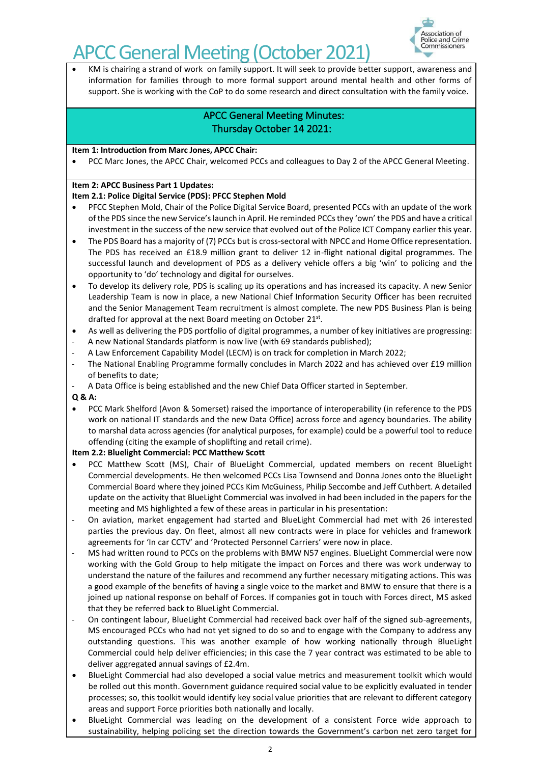

• KM is chairing a strand of work on family support. It will seek to provide better support, awareness and information for families through to more formal support around mental health and other forms of support. She is working with the CoP to do some research and direct consultation with the family voice.

## APCC General Meeting Minutes: Thursday October 14 2021:

#### **Item 1: Introduction from Marc Jones, APCC Chair:**

• PCC Marc Jones, the APCC Chair, welcomed PCCs and colleagues to Day 2 of the APCC General Meeting.

### **Item 2: APCC Business Part 1 Updates:**

## **Item 2.1: Police Digital Service (PDS): PFCC Stephen Mold**

- PFCC Stephen Mold, Chair of the Police Digital Service Board, presented PCCs with an update of the work of the PDS since the new Service's launch in April. He reminded PCCs they 'own' the PDS and have a critical investment in the success of the new service that evolved out of the Police ICT Company earlier this year.
- The PDS Board has a majority of (7) PCCs but is cross-sectoral with NPCC and Home Office representation. The PDS has received an £18.9 million grant to deliver 12 in-flight national digital programmes. The successful launch and development of PDS as a delivery vehicle offers a big 'win' to policing and the opportunity to 'do' technology and digital for ourselves.
- To develop its delivery role, PDS is scaling up its operations and has increased its capacity. A new Senior Leadership Team is now in place, a new National Chief Information Security Officer has been recruited and the Senior Management Team recruitment is almost complete. The new PDS Business Plan is being drafted for approval at the next Board meeting on October 21st.
- As well as delivering the PDS portfolio of digital programmes, a number of key initiatives are progressing:
- A new National Standards platform is now live (with 69 standards published);
- A Law Enforcement Capability Model (LECM) is on track for completion in March 2022;
- The National Enabling Programme formally concludes in March 2022 and has achieved over £19 million of benefits to date;
- A Data Office is being established and the new Chief Data Officer started in September.

#### **Q & A:**

• PCC Mark Shelford (Avon & Somerset) raised the importance of interoperability (in reference to the PDS work on national IT standards and the new Data Office) across force and agency boundaries. The ability to marshal data across agencies (for analytical purposes, for example) could be a powerful tool to reduce offending (citing the example of shoplifting and retail crime).

## **Item 2.2: Bluelight Commercial: PCC Matthew Scott**

- PCC Matthew Scott (MS), Chair of BlueLight Commercial, updated members on recent BlueLight Commercial developments. He then welcomed PCCs Lisa Townsend and Donna Jones onto the BlueLight Commercial Board where they joined PCCs Kim McGuiness, Philip Seccombe and Jeff Cuthbert. A detailed update on the activity that BlueLight Commercial was involved in had been included in the papers for the meeting and MS highlighted a few of these areas in particular in his presentation:
- On aviation, market engagement had started and BlueLight Commercial had met with 26 interested parties the previous day. On fleet, almost all new contracts were in place for vehicles and framework agreements for 'In car CCTV' and 'Protected Personnel Carriers' were now in place.
- MS had written round to PCCs on the problems with BMW N57 engines. BlueLight Commercial were now working with the Gold Group to help mitigate the impact on Forces and there was work underway to understand the nature of the failures and recommend any further necessary mitigating actions. This was a good example of the benefits of having a single voice to the market and BMW to ensure that there is a joined up national response on behalf of Forces. If companies got in touch with Forces direct, MS asked that they be referred back to BlueLight Commercial.
- On contingent labour, BlueLight Commercial had received back over half of the signed sub-agreements, MS encouraged PCCs who had not yet signed to do so and to engage with the Company to address any outstanding questions. This was another example of how working nationally through BlueLight Commercial could help deliver efficiencies; in this case the 7 year contract was estimated to be able to deliver aggregated annual savings of £2.4m.
- BlueLight Commercial had also developed a social value metrics and measurement toolkit which would be rolled out this month. Government guidance required social value to be explicitly evaluated in tender processes; so, this toolkit would identify key social value priorities that are relevant to different category areas and support Force priorities both nationally and locally.
- BlueLight Commercial was leading on the development of a consistent Force wide approach to sustainability, helping policing set the direction towards the Government's carbon net zero target for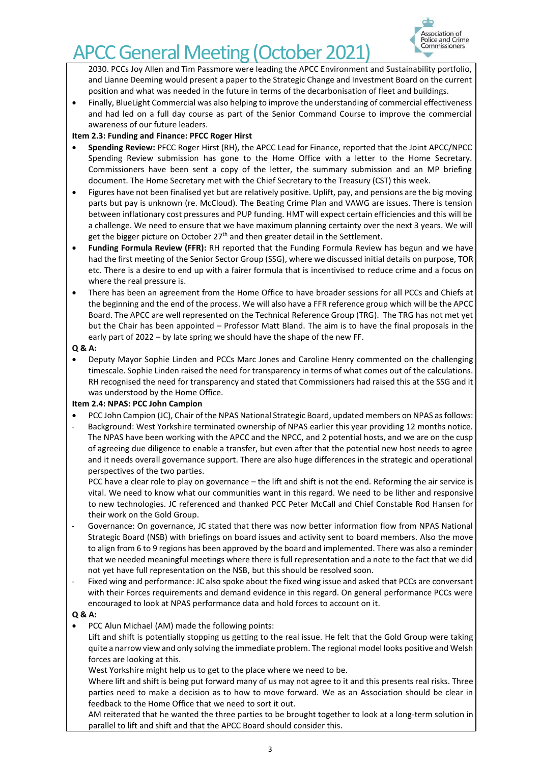

2030. PCCs Joy Allen and Tim Passmore were leading the APCC Environment and Sustainability portfolio, and Lianne Deeming would present a paper to the Strategic Change and Investment Board on the current position and what was needed in the future in terms of the decarbonisation of fleet and buildings.

• Finally, BlueLight Commercial was also helping to improve the understanding of commercial effectiveness and had led on a full day course as part of the Senior Command Course to improve the commercial awareness of our future leaders.

## **Item 2.3: Funding and Finance: PFCC Roger Hirst**

- **Spending Review:** PFCC Roger Hirst (RH), the APCC Lead for Finance, reported that the Joint APCC/NPCC Spending Review submission has gone to the Home Office with a letter to the Home Secretary. Commissioners have been sent a copy of the letter, the summary submission and an MP briefing document. The Home Secretary met with the Chief Secretary to the Treasury (CST) this week.
- Figures have not been finalised yet but are relatively positive. Uplift, pay, and pensions are the big moving parts but pay is unknown (re. McCloud). The Beating Crime Plan and VAWG are issues. There is tension between inflationary cost pressures and PUP funding. HMT will expect certain efficiencies and this will be a challenge. We need to ensure that we have maximum planning certainty over the next 3 years. We will get the bigger picture on October 27<sup>th</sup> and then greater detail in the Settlement.
- **Funding Formula Review (FFR):** RH reported that the Funding Formula Review has begun and we have had the first meeting of the Senior Sector Group (SSG), where we discussed initial details on purpose, TOR etc. There is a desire to end up with a fairer formula that is incentivised to reduce crime and a focus on where the real pressure is.
- There has been an agreement from the Home Office to have broader sessions for all PCCs and Chiefs at the beginning and the end of the process. We will also have a FFR reference group which will be the APCC Board. The APCC are well represented on the Technical Reference Group (TRG). The TRG has not met yet but the Chair has been appointed – Professor Matt Bland. The aim is to have the final proposals in the early part of 2022 – by late spring we should have the shape of the new FF.

#### **Q & A:**

• Deputy Mayor Sophie Linden and PCCs Marc Jones and Caroline Henry commented on the challenging timescale. Sophie Linden raised the need for transparency in terms of what comes out of the calculations. RH recognised the need for transparency and stated that Commissioners had raised this at the SSG and it was understood by the Home Office.

## **Item 2.4: NPAS: PCC John Campion**

- PCC John Campion (JC), Chair of the NPAS National Strategic Board, updated members on NPAS as follows:
- Background: West Yorkshire terminated ownership of NPAS earlier this year providing 12 months notice. The NPAS have been working with the APCC and the NPCC, and 2 potential hosts, and we are on the cusp of agreeing due diligence to enable a transfer, but even after that the potential new host needs to agree and it needs overall governance support. There are also huge differences in the strategic and operational perspectives of the two parties.

PCC have a clear role to play on governance – the lift and shift is not the end. Reforming the air service is vital. We need to know what our communities want in this regard. We need to be lither and responsive to new technologies. JC referenced and thanked PCC Peter McCall and Chief Constable Rod Hansen for their work on the Gold Group.

- Governance: On governance, JC stated that there was now better information flow from NPAS National Strategic Board (NSB) with briefings on board issues and activity sent to board members. Also the move to align from 6 to 9 regions has been approved by the board and implemented. There was also a reminder that we needed meaningful meetings where there is full representation and a note to the fact that we did not yet have full representation on the NSB, but this should be resolved soon.
- Fixed wing and performance: JC also spoke about the fixed wing issue and asked that PCCs are conversant with their Forces requirements and demand evidence in this regard. On general performance PCCs were encouraged to look at NPAS performance data and hold forces to account on it.

## **Q & A:**

• PCC Alun Michael (AM) made the following points:

Lift and shift is potentially stopping us getting to the real issue. He felt that the Gold Group were taking quite a narrow view and only solving the immediate problem. The regional model looks positive and Welsh forces are looking at this.

West Yorkshire might help us to get to the place where we need to be.

Where lift and shift is being put forward many of us may not agree to it and this presents real risks. Three parties need to make a decision as to how to move forward. We as an Association should be clear in feedback to the Home Office that we need to sort it out.

AM reiterated that he wanted the three parties to be brought together to look at a long-term solution in parallel to lift and shift and that the APCC Board should consider this.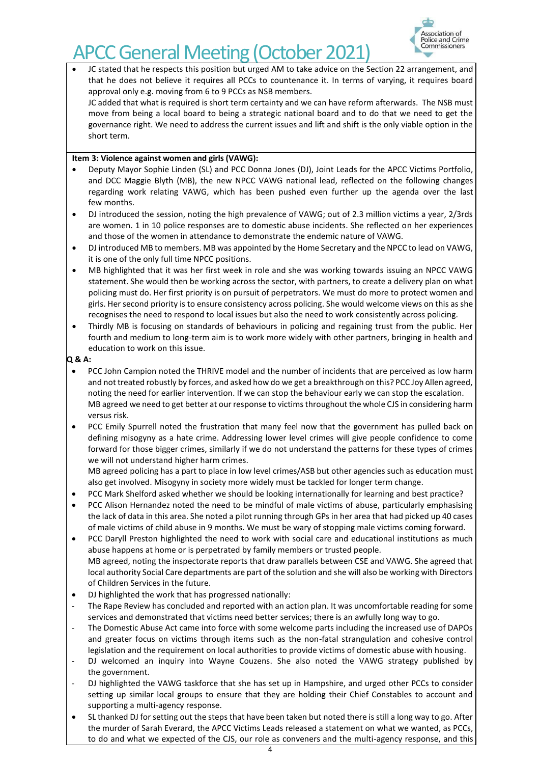

• JC stated that he respects this position but urged AM to take advice on the Section 22 arrangement, and that he does not believe it requires all PCCs to countenance it. In terms of varying, it requires board approval only e.g. moving from 6 to 9 PCCs as NSB members.

JC added that what is required is short term certainty and we can have reform afterwards. The NSB must move from being a local board to being a strategic national board and to do that we need to get the governance right. We need to address the current issues and lift and shift is the only viable option in the short term.

## **Item 3: Violence against women and girls (VAWG):**

- Deputy Mayor Sophie Linden (SL) and PCC Donna Jones (DJ), Joint Leads for the APCC Victims Portfolio, and DCC Maggie Blyth (MB), the new NPCC VAWG national lead, reflected on the following changes regarding work relating VAWG, which has been pushed even further up the agenda over the last few months.
- DJ introduced the session, noting the high prevalence of VAWG; out of 2.3 million victims a year, 2/3rds are women. 1 in 10 police responses are to domestic abuse incidents. She reflected on her experiences and those of the women in attendance to demonstrate the endemic nature of VAWG.
- DJ introduced MB to members. MB was appointed by the Home Secretary and the NPCC to lead on VAWG, it is one of the only full time NPCC positions.
- MB highlighted that it was her first week in role and she was working towards issuing an NPCC VAWG statement. She would then be working across the sector, with partners, to create a delivery plan on what policing must do. Her first priority is on pursuit of perpetrators. We must do more to protect women and girls. Her second priority is to ensure consistency across policing. She would welcome views on this as she recognises the need to respond to local issues but also the need to work consistently across policing.
- Thirdly MB is focusing on standards of behaviours in policing and regaining trust from the public. Her fourth and medium to long-term aim is to work more widely with other partners, bringing in health and education to work on this issue.

### **Q & A:**

- PCC John Campion noted the THRIVE model and the number of incidents that are perceived as low harm and not treated robustly by forces, and asked how do we get a breakthrough on this? PCC Joy Allen agreed, noting the need for earlier intervention. If we can stop the behaviour early we can stop the escalation. MB agreed we need to get better at our response to victims throughout the whole CJS in considering harm versus risk.
- PCC Emily Spurrell noted the frustration that many feel now that the government has pulled back on defining misogyny as a hate crime. Addressing lower level crimes will give people confidence to come forward for those bigger crimes, similarly if we do not understand the patterns for these types of crimes we will not understand higher harm crimes.

MB agreed policing has a part to place in low level crimes/ASB but other agencies such as education must also get involved. Misogyny in society more widely must be tackled for longer term change.

- PCC Mark Shelford asked whether we should be looking internationally for learning and best practice?
- PCC Alison Hernandez noted the need to be mindful of male victims of abuse, particularly emphasising the lack of data in this area. She noted a pilot running through GPs in her area that had picked up 40 cases of male victims of child abuse in 9 months. We must be wary of stopping male victims coming forward.
- PCC Daryll Preston highlighted the need to work with social care and educational institutions as much abuse happens at home or is perpetrated by family members or trusted people. MB agreed, noting the inspectorate reports that draw parallels between CSE and VAWG. She agreed that local authority Social Care departments are part of the solution and she will also be working with Directors of Children Services in the future.
- DJ highlighted the work that has progressed nationally:
- The Rape Review has concluded and reported with an action plan. It was uncomfortable reading for some services and demonstrated that victims need better services; there is an awfully long way to go.
- The Domestic Abuse Act came into force with some welcome parts including the increased use of DAPOs and greater focus on victims through items such as the non-fatal strangulation and cohesive control legislation and the requirement on local authorities to provide victims of domestic abuse with housing.
- DJ welcomed an inquiry into Wayne Couzens. She also noted the VAWG strategy published by the government.
- DJ highlighted the VAWG taskforce that she has set up in Hampshire, and urged other PCCs to consider setting up similar local groups to ensure that they are holding their Chief Constables to account and supporting a multi-agency response.
- SL thanked DJ for setting out the steps that have been taken but noted there is still a long way to go. After the murder of Sarah Everard, the APCC Victims Leads released a statement on what we wanted, as PCCs, to do and what we expected of the CJS, our role as conveners and the multi-agency response, and this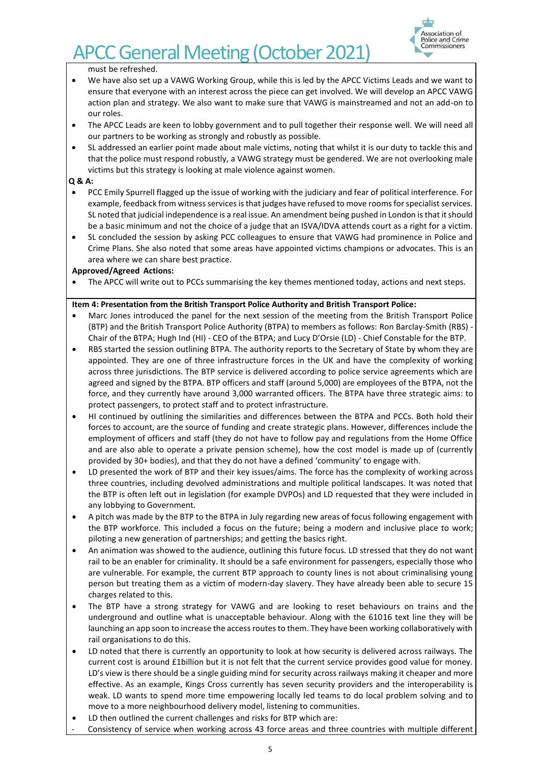

must be refreshed.

- We have also set up a VAWG Working Group, while this is led by the APCC Victims Leads and we want to ensure that everyone with an interest across the piece can get involved. We will develop an APCC VAWG action plan and strategy. We also want to make sure that VAWG is mainstreamed and not an add-on to our roles.
- The APCC Leads are keen to lobby government and to pull together their response well. We will need all our partners to be working as strongly and robustly as possible.
- SL addressed an earlier point made about male victims, noting that whilst it is our duty to tackle this and that the police must respond robustly, a VAWG strategy must be gendered. We are not overlooking male victims but this strategy is looking at male violence against women.

## **Q & A:**

- PCC Emily Spurrell flagged up the issue of working with the judiciary and fear of political interference. For example, feedback from witness services is that judges have refused to move rooms for specialist services. SL noted that judicial independence is a real issue. An amendment being pushed in London is that it should be a basic minimum and not the choice of a judge that an ISVA/IDVA attends court as a right for a victim.
- SL concluded the session by asking PCC colleagues to ensure that VAWG had prominence in Police and Crime Plans. She also noted that some areas have appointed victims champions or advocates. This is an area where we can share best practice.

#### **Approved/Agreed Actions:**

The APCC will write out to PCCs summarising the key themes mentioned today, actions and next steps.

### **Item 4: Presentation from the British Transport Police Authority and British Transport Police:**

- Marc Jones introduced the panel for the next session of the meeting from the British Transport Police (BTP) and the British Transport Police Authority (BTPA) to members as follows: Ron Barclay-Smith (RBS) - Chair of the BTPA; Hugh Ind (HI) - CEO of the BTPA; and Lucy D'Orsie (LD) - Chief Constable for the BTP.
- RBS started the session outlining BTPA. The authority reports to the Secretary of State by whom they are appointed. They are one of three infrastructure forces in the UK and have the complexity of working across three jurisdictions. The BTP service is delivered according to police service agreements which are agreed and signed by the BTPA. BTP officers and staff (around 5,000) are employees of the BTPA, not the force, and they currently have around 3,000 warranted officers. The BTPA have three strategic aims: to protect passengers, to protect staff and to protect infrastructure.
- HI continued by outlining the similarities and differences between the BTPA and PCCs. Both hold their forces to account, are the source of funding and create strategic plans. However, differences include the employment of officers and staff (they do not have to follow pay and regulations from the Home Office and are also able to operate a private pension scheme), how the cost model is made up of (currently provided by 30+ bodies), and that they do not have a defined 'community' to engage with.
- LD presented the work of BTP and their key issues/aims. The force has the complexity of working across three countries, including devolved administrations and multiple political landscapes. It was noted that the BTP is often left out in legislation (for example DVPOs) and LD requested that they were included in any lobbying to Government.
- A pitch was made by the BTP to the BTPA in July regarding new areas of focus following engagement with the BTP workforce. This included a focus on the future; being a modern and inclusive place to work; piloting a new generation of partnerships; and getting the basics right.
- An animation was showed to the audience, outlining this future focus*.* LD stressed that they do not want rail to be an enabler for criminality. It should be a safe environment for passengers, especially those who are vulnerable. For example, the current BTP approach to county lines is not about criminalising young person but treating them as a victim of modern-day slavery. They have already been able to secure 15 charges related to this.
- The BTP have a strong strategy for VAWG and are looking to reset behaviours on trains and the underground and outline what is unacceptable behaviour. Along with the 61016 text line they will be launching an app soon to increase the access routes to them. They have been working collaboratively with rail organisations to do this.
- LD noted that there is currently an opportunity to look at how security is delivered across railways. The current cost is around £1billion but it is not felt that the current service provides good value for money. LD's view is there should be a single guiding mind for security across railways making it cheaper and more effective. As an example, Kings Cross currently has seven security providers and the interoperability is weak. LD wants to spend more time empowering locally led teams to do local problem solving and to move to a more neighbourhood delivery model, listening to communities.
- LD then outlined the current challenges and risks for BTP which are:
- Consistency of service when working across 43 force areas and three countries with multiple different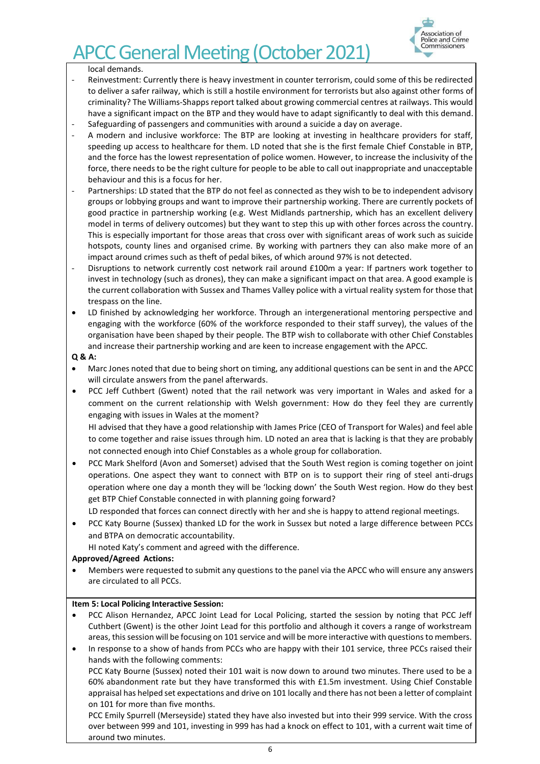

### local demands.

- Reinvestment: Currently there is heavy investment in counter terrorism, could some of this be redirected to deliver a safer railway, which is still a hostile environment for terrorists but also against other forms of criminality? The Williams-Shapps report talked about growing commercial centres at railways. This would have a significant impact on the BTP and they would have to adapt significantly to deal with this demand.
- Safeguarding of passengers and communities with around a suicide a day on average.
- A modern and inclusive workforce: The BTP are looking at investing in healthcare providers for staff, speeding up access to healthcare for them. LD noted that she is the first female Chief Constable in BTP, and the force has the lowest representation of police women. However, to increase the inclusivity of the force, there needs to be the right culture for people to be able to call out inappropriate and unacceptable behaviour and this is a focus for her.
- Partnerships: LD stated that the BTP do not feel as connected as they wish to be to independent advisory groups or lobbying groups and want to improve their partnership working. There are currently pockets of good practice in partnership working (e.g. West Midlands partnership, which has an excellent delivery model in terms of delivery outcomes) but they want to step this up with other forces across the country. This is especially important for those areas that cross over with significant areas of work such as suicide hotspots, county lines and organised crime. By working with partners they can also make more of an impact around crimes such as theft of pedal bikes, of which around 97% is not detected.
- Disruptions to network currently cost network rail around £100m a year: If partners work together to invest in technology (such as drones), they can make a significant impact on that area. A good example is the current collaboration with Sussex and Thames Valley police with a virtual reality system for those that trespass on the line.
- LD finished by acknowledging her workforce. Through an intergenerational mentoring perspective and engaging with the workforce (60% of the workforce responded to their staff survey), the values of the organisation have been shaped by their people. The BTP wish to collaborate with other Chief Constables and increase their partnership working and are keen to increase engagement with the APCC.

### **Q & A:**

- Marc Jones noted that due to being short on timing, any additional questions can be sent in and the APCC will circulate answers from the panel afterwards.
- PCC Jeff Cuthbert (Gwent) noted that the rail network was very important in Wales and asked for a comment on the current relationship with Welsh government: How do they feel they are currently engaging with issues in Wales at the moment?

HI advised that they have a good relationship with James Price (CEO of Transport for Wales) and feel able to come together and raise issues through him. LD noted an area that is lacking is that they are probably not connected enough into Chief Constables as a whole group for collaboration.

• PCC Mark Shelford (Avon and Somerset) advised that the South West region is coming together on joint operations. One aspect they want to connect with BTP on is to support their ring of steel anti-drugs operation where one day a month they will be 'locking down' the South West region. How do they best get BTP Chief Constable connected in with planning going forward?

LD responded that forces can connect directly with her and she is happy to attend regional meetings.

• PCC Katy Bourne (Sussex) thanked LD for the work in Sussex but noted a large difference between PCCs and BTPA on democratic accountability.

HI noted Katy's comment and agreed with the difference.

## **Approved/Agreed Actions:**

• Members were requested to submit any questions to the panel via the APCC who will ensure any answers are circulated to all PCCs.

#### **Item 5: Local Policing Interactive Session:**

• PCC Alison Hernandez, APCC Joint Lead for Local Policing, started the session by noting that PCC Jeff Cuthbert (Gwent) is the other Joint Lead for this portfolio and although it covers a range of workstream areas, this session will be focusing on 101 service and will be more interactive with questions to members.

• In response to a show of hands from PCCs who are happy with their 101 service, three PCCs raised their hands with the following comments: PCC Katy Bourne (Sussex) noted their 101 wait is now down to around two minutes. There used to be a 60% abandonment rate but they have transformed this with £1.5m investment. Using Chief Constable appraisal has helped set expectations and drive on 101 locally and there has not been a letter of complaint on 101 for more than five months.

PCC Emily Spurrell (Merseyside) stated they have also invested but into their 999 service. With the cross over between 999 and 101, investing in 999 has had a knock on effect to 101, with a current wait time of around two minutes.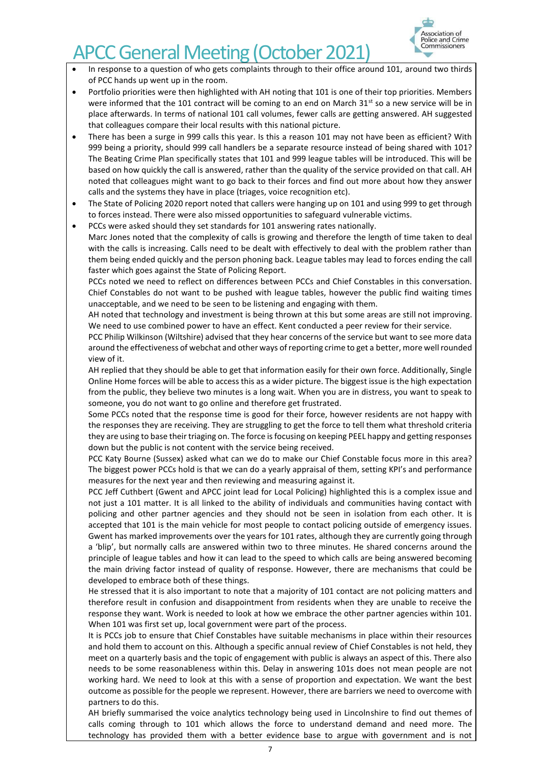

- In response to a question of who gets complaints through to their office around 101, around two thirds of PCC hands up went up in the room.
- Portfolio priorities were then highlighted with AH noting that 101 is one of their top priorities. Members were informed that the 101 contract will be coming to an end on March  $31<sup>st</sup>$  so a new service will be in place afterwards. In terms of national 101 call volumes, fewer calls are getting answered. AH suggested that colleagues compare their local results with this national picture.
- There has been a surge in 999 calls this year. Is this a reason 101 may not have been as efficient? With 999 being a priority, should 999 call handlers be a separate resource instead of being shared with 101? The Beating Crime Plan specifically states that 101 and 999 league tables will be introduced. This will be based on how quickly the call is answered, rather than the quality of the service provided on that call. AH noted that colleagues might want to go back to their forces and find out more about how they answer calls and the systems they have in place (triages, voice recognition etc).
- The State of Policing 2020 report noted that callers were hanging up on 101 and using 999 to get through to forces instead. There were also missed opportunities to safeguard vulnerable victims.
- PCCs were asked should they set standards for 101 answering rates nationally. Marc Jones noted that the complexity of calls is growing and therefore the length of time taken to deal with the calls is increasing. Calls need to be dealt with effectively to deal with the problem rather than them being ended quickly and the person phoning back. League tables may lead to forces ending the call faster which goes against the State of Policing Report.

PCCs noted we need to reflect on differences between PCCs and Chief Constables in this conversation. Chief Constables do not want to be pushed with league tables, however the public find waiting times unacceptable, and we need to be seen to be listening and engaging with them.

AH noted that technology and investment is being thrown at this but some areas are still not improving. We need to use combined power to have an effect. Kent conducted a peer review for their service.

PCC Philip Wilkinson (Wiltshire) advised that they hear concerns of the service but want to see more data around the effectiveness of webchat and other ways of reporting crime to get a better, more well rounded view of it.

AH replied that they should be able to get that information easily for their own force. Additionally, Single Online Home forces will be able to access this as a wider picture. The biggest issue is the high expectation from the public, they believe two minutes is a long wait. When you are in distress, you want to speak to someone, you do not want to go online and therefore get frustrated.

Some PCCs noted that the response time is good for their force, however residents are not happy with the responses they are receiving. They are struggling to get the force to tell them what threshold criteria they are using to base their triaging on. The force is focusing on keeping PEEL happy and getting responses down but the public is not content with the service being received.

PCC Katy Bourne (Sussex) asked what can we do to make our Chief Constable focus more in this area? The biggest power PCCs hold is that we can do a yearly appraisal of them, setting KPI's and performance measures for the next year and then reviewing and measuring against it.

PCC Jeff Cuthbert (Gwent and APCC joint lead for Local Policing) highlighted this is a complex issue and not just a 101 matter. It is all linked to the ability of individuals and communities having contact with policing and other partner agencies and they should not be seen in isolation from each other. It is accepted that 101 is the main vehicle for most people to contact policing outside of emergency issues. Gwent has marked improvements over the years for 101 rates, although they are currently going through a 'blip', but normally calls are answered within two to three minutes. He shared concerns around the principle of league tables and how it can lead to the speed to which calls are being answered becoming the main driving factor instead of quality of response. However, there are mechanisms that could be developed to embrace both of these things.

He stressed that it is also important to note that a majority of 101 contact are not policing matters and therefore result in confusion and disappointment from residents when they are unable to receive the response they want. Work is needed to look at how we embrace the other partner agencies within 101. When 101 was first set up, local government were part of the process.

It is PCCs job to ensure that Chief Constables have suitable mechanisms in place within their resources and hold them to account on this. Although a specific annual review of Chief Constables is not held, they meet on a quarterly basis and the topic of engagement with public is always an aspect of this. There also needs to be some reasonableness within this. Delay in answering 101s does not mean people are not working hard. We need to look at this with a sense of proportion and expectation. We want the best outcome as possible for the people we represent. However, there are barriers we need to overcome with partners to do this.

AH briefly summarised the voice analytics technology being used in Lincolnshire to find out themes of calls coming through to 101 which allows the force to understand demand and need more*.* The technology has provided them with a better evidence base to argue with government and is not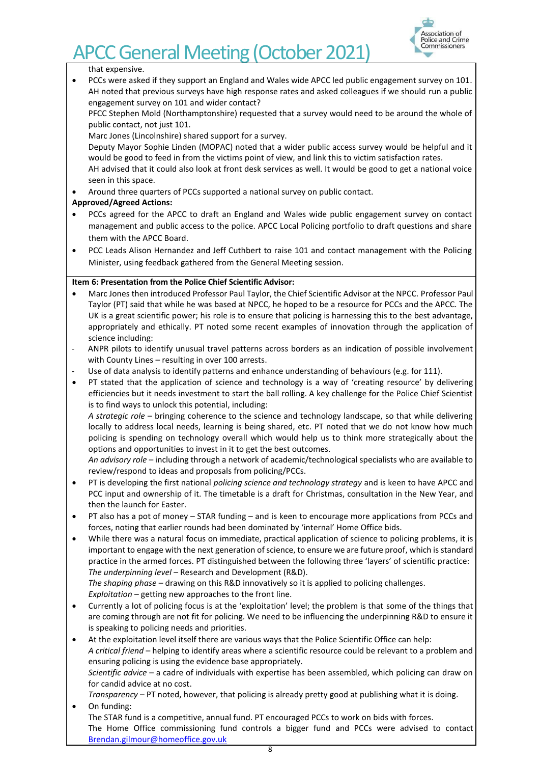

that expensive.

• PCCs were asked if they support an England and Wales wide APCC led public engagement survey on 101. AH noted that previous surveys have high response rates and asked colleagues if we should run a public engagement survey on 101 and wider contact?

PFCC Stephen Mold (Northamptonshire) requested that a survey would need to be around the whole of public contact, not just 101.

Marc Jones (Lincolnshire) shared support for a survey.

Deputy Mayor Sophie Linden (MOPAC) noted that a wider public access survey would be helpful and it would be good to feed in from the victims point of view, and link this to victim satisfaction rates.

AH advised that it could also look at front desk services as well. It would be good to get a national voice seen in this space.

• Around three quarters of PCCs supported a national survey on public contact.

## **Approved/Agreed Actions:**

- PCCs agreed for the APCC to draft an England and Wales wide public engagement survey on contact management and public access to the police. APCC Local Policing portfolio to draft questions and share them with the APCC Board.
- PCC Leads Alison Hernandez and Jeff Cuthbert to raise 101 and contact management with the Policing Minister, using feedback gathered from the General Meeting session.

## **Item 6: Presentation from the Police Chief Scientific Advisor:**

- Marc Jones then introduced Professor Paul Taylor, the Chief Scientific Advisor at the NPCC. Professor Paul Taylor (PT) said that while he was based at NPCC, he hoped to be a resource for PCCs and the APCC. The UK is a great scientific power; his role is to ensure that policing is harnessing this to the best advantage, appropriately and ethically. PT noted some recent examples of innovation through the application of science including:
- ANPR pilots to identify unusual travel patterns across borders as an indication of possible involvement with County Lines – resulting in over 100 arrests.
- Use of data analysis to identify patterns and enhance understanding of behaviours (e.g. for 111).
- PT stated that the application of science and technology is a way of 'creating resource' by delivering efficiencies but it needs investment to start the ball rolling. A key challenge for the Police Chief Scientist is to find ways to unlock this potential, including:

*A strategic role* – bringing coherence to the science and technology landscape, so that while delivering locally to address local needs, learning is being shared, etc. PT noted that we do not know how much policing is spending on technology overall which would help us to think more strategically about the options and opportunities to invest in it to get the best outcomes.

*An advisory role* – including through a network of academic/technological specialists who are available to review/respond to ideas and proposals from policing/PCCs.

- PT is developing the first national *policing science and technology strategy* and is keen to have APCC and PCC input and ownership of it. The timetable is a draft for Christmas, consultation in the New Year, and then the launch for Easter.
- PT also has a pot of money STAR funding and is keen to encourage more applications from PCCs and forces, noting that earlier rounds had been dominated by 'internal' Home Office bids.
- While there was a natural focus on immediate, practical application of science to policing problems, it is important to engage with the next generation of science, to ensure we are future proof, which is standard practice in the armed forces. PT distinguished between the following three 'layers' of scientific practice: *The underpinning level* – Research and Development (R&D).

*The shaping phase* – drawing on this R&D innovatively so it is applied to policing challenges. *Exploitation* – getting new approaches to the front line.

- Currently a lot of policing focus is at the 'exploitation' level; the problem is that some of the things that are coming through are not fit for policing. We need to be influencing the underpinning R&D to ensure it is speaking to policing needs and priorities.
- At the exploitation level itself there are various ways that the Police Scientific Office can help: *A critical friend* – helping to identify areas where a scientific resource could be relevant to a problem and ensuring policing is using the evidence base appropriately. *Scientific advice* – a cadre of individuals with expertise has been assembled, which policing can draw on for candid advice at no cost. *Transparency* – PT noted, however, that policing is already pretty good at publishing what it is doing.

• On funding: The STAR fund is a competitive, annual fund. PT encouraged PCCs to work on bids with forces. The Home Office commissioning fund controls a bigger fund and PCCs were advised to contact [Brendan.gilmour@homeoffice.gov.uk](mailto:Brendan.gilmour@homeoffice.gov.uk)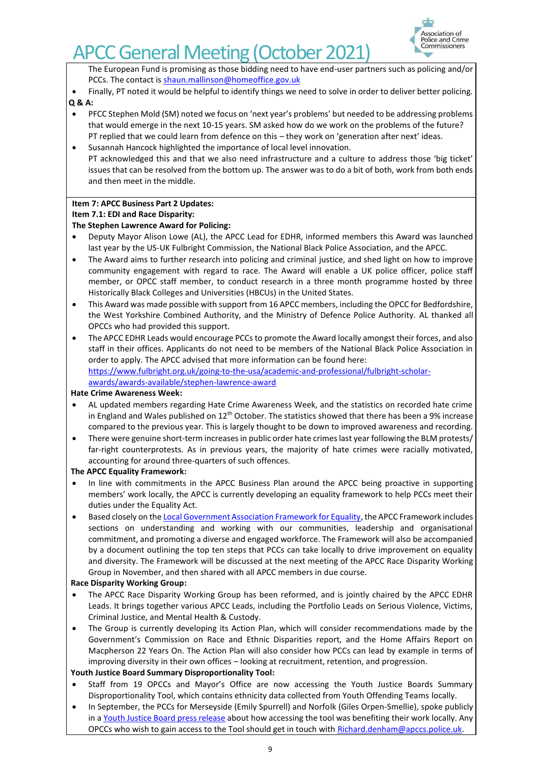

The European Fund is promising as those bidding need to have end-user partners such as policing and/or PCCs. The contact i[s shaun.mallinson@homeoffice.gov.uk](mailto:shaun.mallinson@homeoffice.gov.uk)

• Finally, PT noted it would be helpful to identify things we need to solve in order to deliver better policing. **Q & A:**

## • PFCC Stephen Mold (SM) noted we focus on 'next year's problems' but needed to be addressing problems that would emerge in the next 10-15 years. SM asked how do we work on the problems of the future? PT replied that we could learn from defence on this – they work on 'generation after next' ideas.

• Susannah Hancock highlighted the importance of local level innovation. PT acknowledged this and that we also need infrastructure and a culture to address those 'big ticket' issues that can be resolved from the bottom up. The answer was to do a bit of both, work from both ends and then meet in the middle.

## **Item 7: APCC Business Part 2 Updates:**

## **Item 7.1: EDI and Race Disparity:**

## **The Stephen Lawrence Award for Policing:**

- Deputy Mayor Alison Lowe (AL), the APCC Lead for EDHR, informed members this Award was launched last year by the US-UK Fulbright Commission, the National Black Police Association, and the APCC.
- The Award aims to further research into policing and criminal justice, and shed light on how to improve community engagement with regard to race. The Award will enable a UK police officer, police staff member, or OPCC staff member, to conduct research in a three month programme hosted by three Historically Black Colleges and Universities (HBCUs) in the United States.
- This Award was made possible with support from 16 APCC members, including the OPCC for Bedfordshire, the West Yorkshire Combined Authority, and the Ministry of Defence Police Authority. AL thanked all OPCCs who had provided this support.
- The APCC EDHR Leads would encourage PCCs to promote the Award locally amongst their forces, and also staff in their offices. Applicants do not need to be members of the National Black Police Association in order to apply. The APCC advised that more information can be found here: [https://www.fulbright.org.uk/going-to-the-usa/academic-and-professional/fulbright-scholar](https://www.fulbright.org.uk/going-to-the-usa/academic-and-professional/fulbright-scholar-awards/awards-available/stephen-lawrence-award)[awards/awards-available/stephen-lawrence-award](https://www.fulbright.org.uk/going-to-the-usa/academic-and-professional/fulbright-scholar-awards/awards-available/stephen-lawrence-award)

## **Hate Crime Awareness Week:**

- AL updated members regarding Hate Crime Awareness Week, and the statistics on recorded hate crime in England and Wales published on  $12<sup>th</sup>$  October. The statistics showed that there has been a 9% increase compared to the previous year. This is largely thought to be down to improved awareness and recording.
- There were genuine short-term increases in public order hate crimes last year following the BLM protests/ far-right counterprotests. As in previous years, the majority of hate crimes were racially motivated, accounting for around three-quarters of such offences.

## **The APCC Equality Framework:**

- In line with commitments in the APCC Business Plan around the APCC being proactive in supporting members' work locally, the APCC is currently developing an equality framework to help PCCs meet their duties under the Equality Act.
- Based closely on th[e Local Government Association Framework for Equality,](https://www.local.gov.uk/sites/default/files/documents/Equality%20Framework%20For%20Local%20Government%202020.pdf) the APCC Framework includes sections on understanding and working with our communities, leadership and organisational commitment, and promoting a diverse and engaged workforce. The Framework will also be accompanied by a document outlining the top ten steps that PCCs can take locally to drive improvement on equality and diversity. The Framework will be discussed at the next meeting of the APCC Race Disparity Working Group in November, and then shared with all APCC members in due course.

## **Race Disparity Working Group:**

- The APCC Race Disparity Working Group has been reformed, and is jointly chaired by the APCC EDHR Leads. It brings together various APCC Leads, including the Portfolio Leads on Serious Violence, Victims, Criminal Justice, and Mental Health & Custody.
- The Group is currently developing its Action Plan, which will consider recommendations made by the Government's Commission on Race and Ethnic Disparities report, and the Home Affairs Report on Macpherson 22 Years On. The Action Plan will also consider how PCCs can lead by example in terms of improving diversity in their own offices – looking at recruitment, retention, and progression.

## **Youth Justice Board Summary Disproportionality Tool:**

- Staff from 19 OPCCs and Mayor's Office are now accessing the Youth Justice Boards Summary Disproportionality Tool, which contains ethnicity data collected from Youth Offending Teams locally.
- In September, the PCCs for Merseyside (Emily Spurrell) and Norfolk (Giles Orpen-Smellie), spoke publicly in [a Youth Justice Board press release](https://www.gov.uk/government/news/new-data-sharing-agreement-to-boost-partnership-working) about how accessing the tool was benefiting their work locally. Any OPCCs who wish to gain access to the Tool should get in touch wit[h Richard.denham@apccs.police.uk.](mailto:Richard.denham@apccs.police.uk)